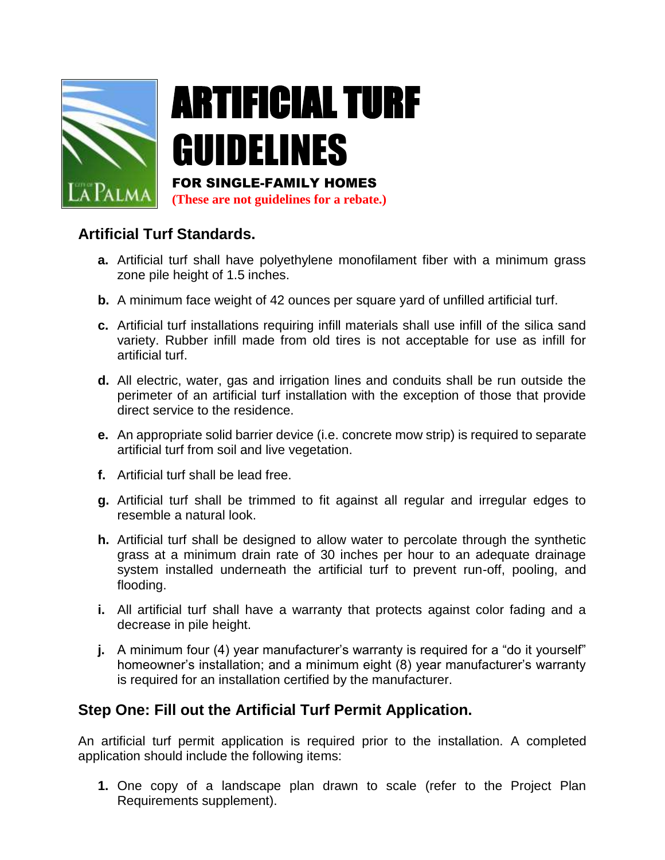

# ARTIFICIAL TURF GUIDELINES FOR SINGLE-FAMILY HOMES

**(These are not guidelines for a rebate.)**

## **Artificial Turf Standards.**

- **a.** Artificial turf shall have polyethylene monofilament fiber with a minimum grass zone pile height of 1.5 inches.
- **b.** A minimum face weight of 42 ounces per square yard of unfilled artificial turf.
- **c.** Artificial turf installations requiring infill materials shall use infill of the silica sand variety. Rubber infill made from old tires is not acceptable for use as infill for artificial turf.
- **d.** All electric, water, gas and irrigation lines and conduits shall be run outside the perimeter of an artificial turf installation with the exception of those that provide direct service to the residence.
- **e.** An appropriate solid barrier device (i.e. concrete mow strip) is required to separate artificial turf from soil and live vegetation.
- **f.** Artificial turf shall be lead free.
- **g.** Artificial turf shall be trimmed to fit against all regular and irregular edges to resemble a natural look.
- **h.** Artificial turf shall be designed to allow water to percolate through the synthetic grass at a minimum drain rate of 30 inches per hour to an adequate drainage system installed underneath the artificial turf to prevent run-off, pooling, and flooding.
- **i.** All artificial turf shall have a warranty that protects against color fading and a decrease in pile height.
- **j.** A minimum four (4) year manufacturer's warranty is required for a "do it yourself" homeowner's installation; and a minimum eight (8) year manufacturer's warranty is required for an installation certified by the manufacturer.

## **Step One: Fill out the Artificial Turf Permit Application.**

An artificial turf permit application is required prior to the installation. A completed application should include the following items:

**1.** One copy of a landscape plan drawn to scale (refer to the Project Plan Requirements supplement).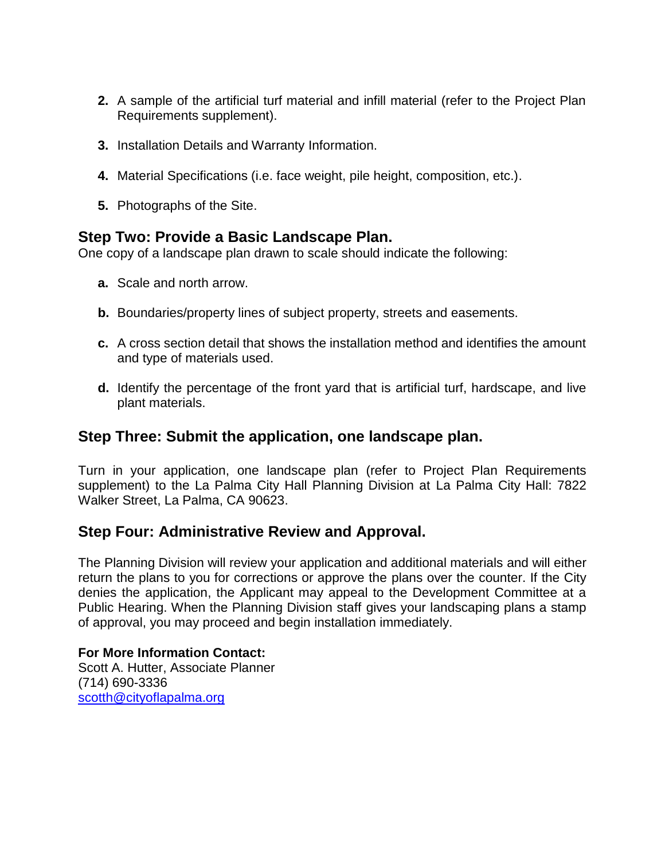- **2.** A sample of the artificial turf material and infill material (refer to the Project Plan Requirements supplement).
- **3.** Installation Details and Warranty Information.
- **4.** Material Specifications (i.e. face weight, pile height, composition, etc.).
- **5.** Photographs of the Site.

### **Step Two: Provide a Basic Landscape Plan.**

One copy of a landscape plan drawn to scale should indicate the following:

- **a.** Scale and north arrow.
- **b.** Boundaries/property lines of subject property, streets and easements.
- **c.** A cross section detail that shows the installation method and identifies the amount and type of materials used.
- **d.** Identify the percentage of the front yard that is artificial turf, hardscape, and live plant materials.

### **Step Three: Submit the application, one landscape plan.**

Turn in your application, one landscape plan (refer to Project Plan Requirements supplement) to the La Palma City Hall Planning Division at La Palma City Hall: 7822 Walker Street, La Palma, CA 90623.

### **Step Four: Administrative Review and Approval.**

The Planning Division will review your application and additional materials and will either return the plans to you for corrections or approve the plans over the counter. If the City denies the application, the Applicant may appeal to the Development Committee at a Public Hearing. When the Planning Division staff gives your landscaping plans a stamp of approval, you may proceed and begin installation immediately.

### **For More Information Contact:**

Scott A. Hutter, Associate Planner (714) 690-3336 [scotth@cityoflapalma.org](mailto:scotth@cityoflapalma.org)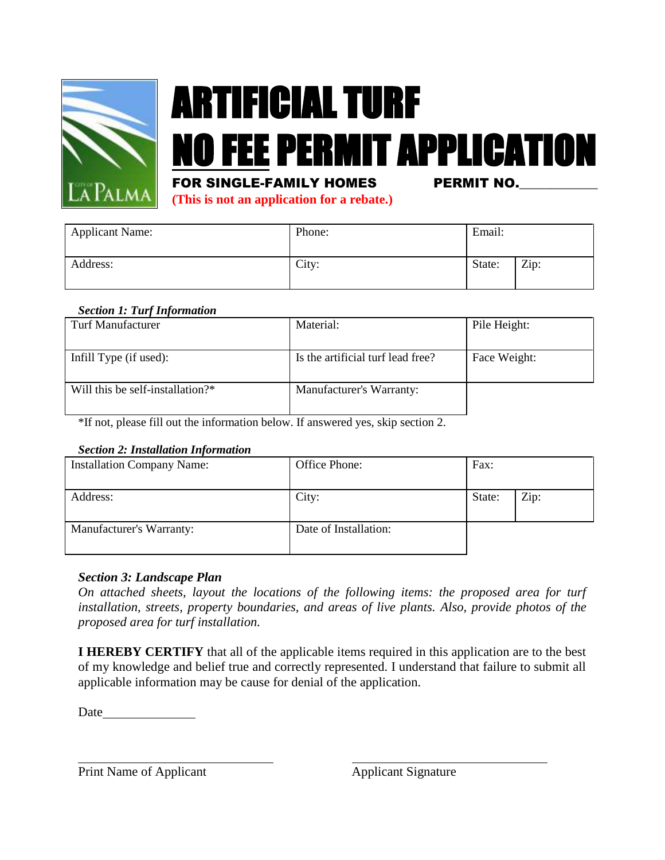

# ARTIFICIAL TURF NO FEE PERMIT APPLICATION

### FOR SINGLE-FAMILY HOMES PERMIT NO.

**(This is not an application for a rebate.)**

| <b>Applicant Name:</b> | Phone: | Email: |      |
|------------------------|--------|--------|------|
| Address:               | City:  | State: | Zip: |

### *Section 1: Turf Information*

| Turf Manufacturer                | Material:                         | Pile Height: |
|----------------------------------|-----------------------------------|--------------|
| Infill Type (if used):           | Is the artificial turf lead free? | Face Weight: |
| Will this be self-installation?* | Manufacturer's Warranty:          |              |

\*If not, please fill out the information below. If answered yes, skip section 2.

### *Section 2: Installation Information*

| <b>Installation Company Name:</b> | Office Phone:         | Fax:   |      |
|-----------------------------------|-----------------------|--------|------|
| Address:                          | City:                 | State: | Zip: |
| Manufacturer's Warranty:          | Date of Installation: |        |      |

### *Section 3: Landscape Plan*

*On attached sheets, layout the locations of the following items: the proposed area for turf installation, streets, property boundaries, and areas of live plants. Also, provide photos of the proposed area for turf installation.*

**I HEREBY CERTIFY** that all of the applicable items required in this application are to the best of my knowledge and belief true and correctly represented. I understand that failure to submit all applicable information may be cause for denial of the application.

Date and the set of the set of the set of the set of the set of the set of the set of the set of the set of the set of the set of the set of the set of the set of the set of the set of the set of the set of the set of the

Print Name of Applicant Applicant Applicant Signature